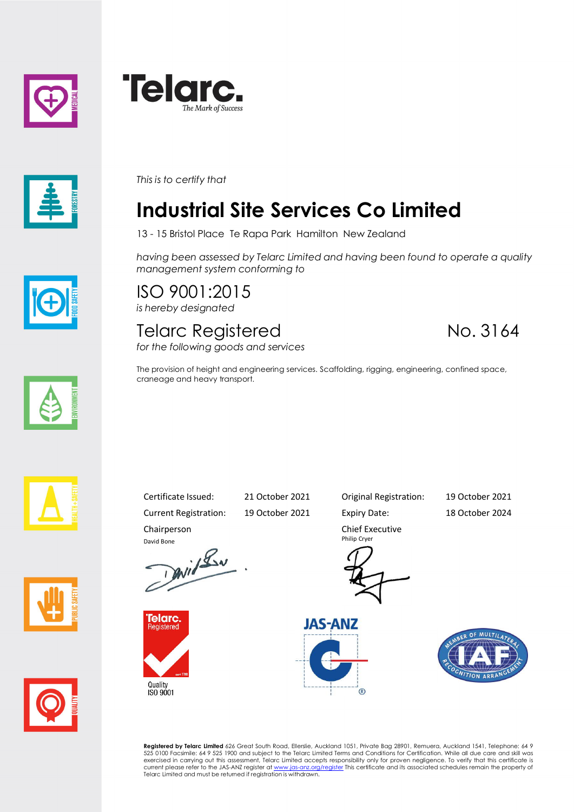





*This is to certify that*

## **Industrial Site Services Co Limited**

13 - 15 Bristol Place Te Rapa Park Hamilton New Zealand

*having been assessed by Telarc Limited and having been found to operate a quality management system conforming to*

ISO 9001:2015 *is hereby designated*

## Telarc Registered No. 3164

*for the following goods and services*

The provision of height and engineering services. Scaffolding, rigging, engineering, confined space, craneage and heavy transport.









Current Registration: 19 October 2021 Expiry Date: 18 October 2024 Chairperson

David Bone<br>David Lav



Quality<br>ISO 9001

Certificate Issued: 21 October 2021 Original Registration: 19 October 2021

Chief Executive Philip Cryer





**Registered by Telarc Limited** 626 Great South Road, Ellerslie, Auckland 1051, Private Bag 28901, Remuera, Auckland 1541, Telephone: 64 9<br>525 0100 Facsimile: 64 9 525 1900 and subject to the Telarc Limited Terms and Condit